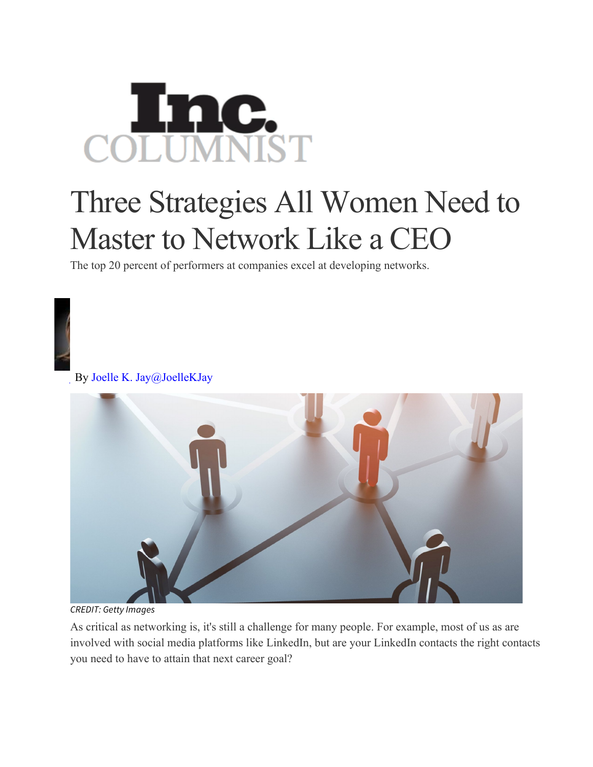## COLUMNIST

## Three Strategies All Women Need to Master to Network Like a CEO

The top 20 percent of performers at companies excel at developing networks.

By Joelle K. Jay@JoelleKJay



*CREDIT: Getty Images*

As critical as networking is, it's still a challenge for many people. For example, most of us as are involved with social media platforms like LinkedIn, but are your LinkedIn contacts the right contacts you need to have to attain that next career goal?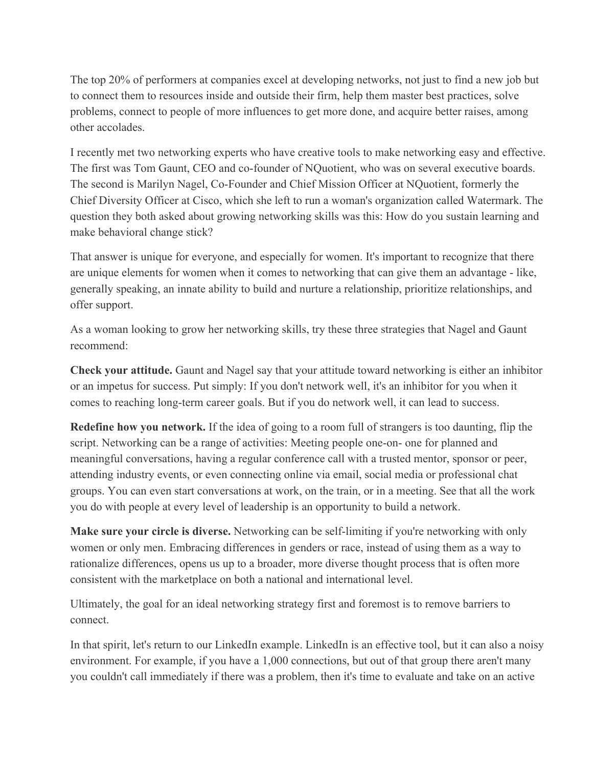The top 20% of performers at companies excel at developing networks, not just to find a new job but to connect them to resources inside and outside their firm, help them master best practices, solve problems, connect to people of more influences to get more done, and acquire better raises, among other accolades.

I recently met two networking experts who have creative tools to make networking easy and effective. The first was Tom Gaunt, CEO and co-founder of NQuotient, who was on several executive boards. The second is Marilyn Nagel, Co-Founder and Chief Mission Officer at NQuotient, formerly the Chief Diversity Officer at Cisco, which she left to run a woman's organization called Watermark. The question they both asked about growing networking skills was this: How do you sustain learning and make behavioral change stick?

That answer is unique for everyone, and especially for women. It's important to recognize that there are unique elements for women when it comes to networking that can give them an advantage - like, generally speaking, an innate ability to build and nurture a relationship, prioritize relationships, and offer support.

As a woman looking to grow her networking skills, try these three strategies that Nagel and Gaunt recommend:

**Check your attitude.** Gaunt and Nagel say that your attitude toward networking is either an inhibitor or an impetus for success. Put simply: If you don't network well, it's an inhibitor for you when it comes to reaching long-term career goals. But if you do network well, it can lead to success.

**Redefine how you network.** If the idea of going to a room full of strangers is too daunting, flip the script. Networking can be a range of activities: Meeting people one-on- one for planned and meaningful conversations, having a regular conference call with a trusted mentor, sponsor or peer, attending industry events, or even connecting online via email, social media or professional chat groups. You can even start conversations at work, on the train, or in a meeting. See that all the work you do with people at every level of leadership is an opportunity to build a network.

**Make sure your circle is diverse.** Networking can be self-limiting if you're networking with only women or only men. Embracing differences in genders or race, instead of using them as a way to rationalize differences, opens us up to a broader, more diverse thought process that is often more consistent with the marketplace on both a national and international level.

Ultimately, the goal for an ideal networking strategy first and foremost is to remove barriers to connect.

In that spirit, let's return to our LinkedIn example. LinkedIn is an effective tool, but it can also a noisy environment. For example, if you have a 1,000 connections, but out of that group there aren't many you couldn't call immediately if there was a problem, then it's time to evaluate and take on an active